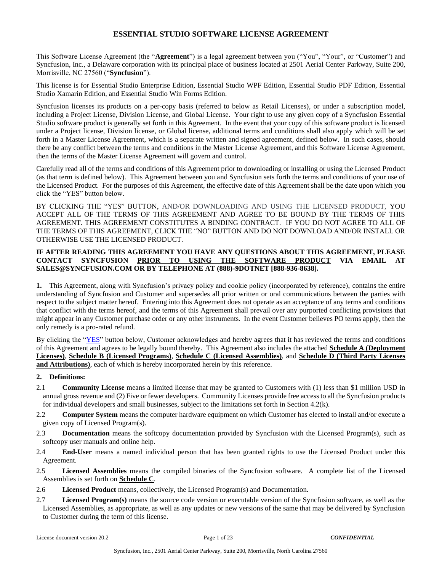This Software License Agreement (the "**Agreement**") is a legal agreement between you ("You", "Your", or "Customer") and Syncfusion, Inc., a Delaware corporation with its principal place of business located at 2501 Aerial Center Parkway, Suite 200, Morrisville, NC 27560 ("**Syncfusion**").

This license is for Essential Studio Enterprise Edition, Essential Studio WPF Edition, Essential Studio PDF Edition, Essential Studio Xamarin Edition, and Essential Studio Win Forms Edition.

Syncfusion licenses its products on a per-copy basis (referred to below as Retail Licenses), or under a subscription model, including a Project License, Division License, and Global License. Your right to use any given copy of a Syncfusion Essential Studio software product is generally set forth in this Agreement. In the event that your copy of this software product is licensed under a Project license, Division license, or Global license, additional terms and conditions shall also apply which will be set forth in a Master License Agreement, which is a separate written and signed agreement, defined below. In such cases, should there be any conflict between the terms and conditions in the Master License Agreement, and this Software License Agreement, then the terms of the Master License Agreement will govern and control.

Carefully read all of the terms and conditions of this Agreement prior to downloading or installing or using the Licensed Product (as that term is defined below). This Agreement between you and Syncfusion sets forth the terms and conditions of your use of the Licensed Product. For the purposes of this Agreement, the effective date of this Agreement shall be the date upon which you click the "YES" button below.

BY CLICKING THE "YES" BUTTON, AND/OR DOWNLOADING AND USING THE LICENSED PRODUCT, YOU ACCEPT ALL OF THE TERMS OF THIS AGREEMENT AND AGREE TO BE BOUND BY THE TERMS OF THIS AGREEMENT. THIS AGREEMENT CONSTITUTES A BINDING CONTRACT. IF YOU DO NOT AGREE TO ALL OF THE TERMS OF THIS AGREEMENT, CLICK THE "NO" BUTTON AND DO NOT DOWNLOAD AND/OR INSTALL OR OTHERWISE USE THE LICENSED PRODUCT.

### **IF AFTER READING THIS AGREEMENT YOU HAVE ANY QUESTIONS ABOUT THIS AGREEMENT, PLEASE CONTACT SYNCFUSION PRIOR TO USING THE SOFTWARE PRODUCT VIA EMAIL AT SALES@SYNCFUSION.COM OR BY TELEPHONE AT (888)-9DOTNET [888-936-8638].**

**1.** This Agreement, along with Syncfusion's privacy policy and cookie policy (incorporated by reference), contains the entire understanding of Syncfusion and Customer and supersedes all prior written or oral communications between the parties with respect to the subject matter hereof. Entering into this Agreement does not operate as an acceptance of any terms and conditions that conflict with the terms hereof, and the terms of this Agreement shall prevail over any purported conflicting provisions that might appear in any Customer purchase order or any other instruments. In the event Customer believes PO terms apply, then the only remedy is a pro-rated refund.

By clicking the "YES" button below, Customer acknowledges and hereby agrees that it has reviewed the terms and conditions of this Agreement and agrees to be legally bound thereby. This Agreement also includes the attached **Schedule A (Deployment Licenses)**, **Schedule B (Licensed Programs)**, **Schedule C (Licensed Assemblies)**, and **Schedule D (Third Party Licenses and Attributions)**, each of which is hereby incorporated herein by this reference.

#### **2. Definitions:**

- 2.1 **Community License** means a limited license that may be granted to Customers with (1) less than \$1 million USD in annual gross revenue and (2) Five or fewer developers. Community Licenses provide free access to all the Syncfusion products for individual developers and small businesses, subject to the limitations set forth in Section 4.2(k).
- 2.2 **Computer System** means the computer hardware equipment on which Customer has elected to install and/or execute a given copy of Licensed Program(s).
- 2.3 **Documentation** means the softcopy documentation provided by Syncfusion with the Licensed Program(s), such as softcopy user manuals and online help.
- 2.4 **End-User** means a named individual person that has been granted rights to use the Licensed Product under this Agreement.
- 2.5 **Licensed Assemblies** means the compiled binaries of the Syncfusion software. A complete list of the Licensed Assemblies is set forth on **Schedule C**.
- 2.6 **Licensed Product** means, collectively, the Licensed Program(s) and Documentation.
- 2.7 **Licensed Program(s)** means the source code version or executable version of the Syncfusion software, as well as the Licensed Assemblies, as appropriate, as well as any updates or new versions of the same that may be delivered by Syncfusion to Customer during the term of this license.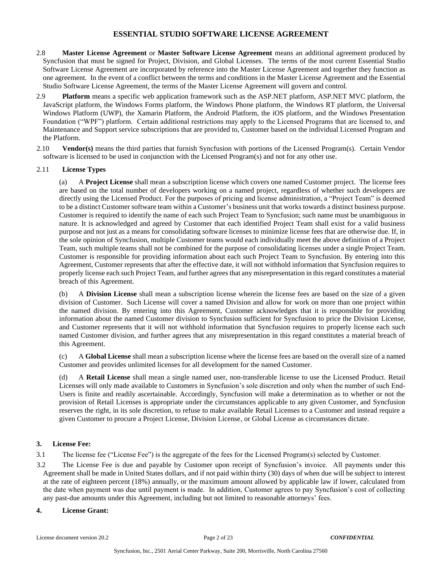- 2.8 **Master License Agreement** or **Master Software License Agreement** means an additional agreement produced by Syncfusion that must be signed for Project, Division, and Global Licenses. The terms of the most current Essential Studio Software License Agreement are incorporated by reference into the Master License Agreement and together they function as one agreement. In the event of a conflict between the terms and conditions in the Master License Agreement and the Essential Studio Software License Agreement, the terms of the Master License Agreement will govern and control.
- 2.9 **Platform** means a specific web application framework such as the ASP.NET platform, ASP.NET MVC platform, the JavaScript platform, the Windows Forms platform, the Windows Phone platform, the Windows RT platform, the Universal Windows Platform (UWP), the Xamarin Platform, the Android Platform, the iOS platform, and the Windows Presentation Foundation ("WPF") platform. Certain additional restrictions may apply to the Licensed Programs that are licensed to, and Maintenance and Support service subscriptions that are provided to, Customer based on the individual Licensed Program and the Platform.
- 2.10 **Vendor(s)** means the third parties that furnish Syncfusion with portions of the Licensed Program(s). Certain Vendor software is licensed to be used in conjunction with the Licensed Program(s) and not for any other use.

### 2.11 **License Types**

(a) A **Project License** shall mean a subscription license which covers one named Customer project. The license fees are based on the total number of developers working on a named project, regardless of whether such developers are directly using the Licensed Product. For the purposes of pricing and license administration, a "Project Team" is deemed to be a distinct Customer software team within a Customer's business unit that works towards a distinct business purpose. Customer is required to identify the name of each such Project Team to Syncfusion; such name must be unambiguous in nature. It is acknowledged and agreed by Customer that each identified Project Team shall exist for a valid business purpose and not just as a means for consolidating software licenses to minimize license fees that are otherwise due. If, in the sole opinion of Syncfusion, multiple Customer teams would each individually meet the above definition of a Project Team, such multiple teams shall not be combined for the purpose of consolidating licenses under a single Project Team. Customer is responsible for providing information about each such Project Team to Syncfusion. By entering into this Agreement, Customer represents that after the effective date, it will not withhold information that Syncfusion requires to properly license each such Project Team, and further agrees that any misrepresentation in this regard constitutes a material breach of this Agreement.

(b) A **Division License** shall mean a subscription license wherein the license fees are based on the size of a given division of Customer. Such License will cover a named Division and allow for work on more than one project within the named division. By entering into this Agreement, Customer acknowledges that it is responsible for providing information about the named Customer division to Syncfusion sufficient for Syncfusion to price the Division License, and Customer represents that it will not withhold information that Syncfusion requires to properly license each such named Customer division, and further agrees that any misrepresentation in this regard constitutes a material breach of this Agreement.

(c) A **Global License** shall mean a subscription license where the license fees are based on the overall size of a named Customer and provides unlimited licenses for all development for the named Customer.

(d) A **Retail License** shall mean a single named user, non-transferable license to use the Licensed Product. Retail Licenses will only made available to Customers in Syncfusion's sole discretion and only when the number of such End-Users is finite and readily ascertainable. Accordingly, Syncfusion will make a determination as to whether or not the provision of Retail Licenses is appropriate under the circumstances applicable to any given Customer, and Syncfusion reserves the right, in its sole discretion, to refuse to make available Retail Licenses to a Customer and instead require a given Customer to procure a Project License, Division License, or Global License as circumstances dictate.

## **3. License Fee:**

3.1 The license fee ("License Fee") is the aggregate of the fees for the Licensed Program(s) selected by Customer.

3.2 The License Fee is due and payable by Customer upon receipt of Syncfusion's invoice. All payments under this Agreement shall be made in United States dollars, and if not paid within thirty (30) days of when due will be subject to interest at the rate of eighteen percent (18%) annually, or the maximum amount allowed by applicable law if lower, calculated from the date when payment was due until payment is made. In addition, Customer agrees to pay Syncfusion's cost of collecting any past-due amounts under this Agreement, including but not limited to reasonable attorneys' fees.

### **4. License Grant:**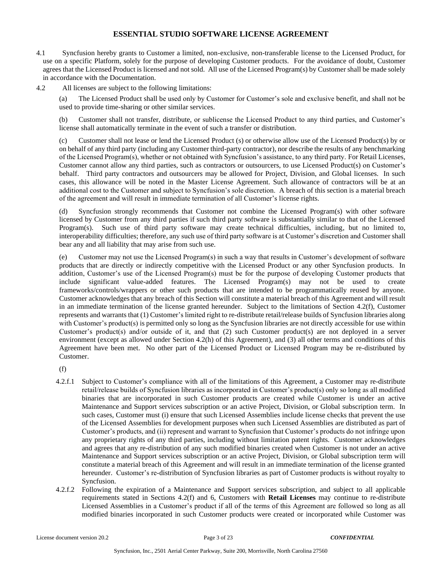- 4.1 Syncfusion hereby grants to Customer a limited, non-exclusive, non-transferable license to the Licensed Product, for use on a specific Platform, solely for the purpose of developing Customer products. For the avoidance of doubt, Customer agrees that the Licensed Product is licensed and not sold. All use of the Licensed Program(s) by Customer shall be made solely in accordance with the Documentation.
- 4.2 All licenses are subject to the following limitations:

(a) The Licensed Product shall be used only by Customer for Customer's sole and exclusive benefit, and shall not be used to provide time-sharing or other similar services.

(b) Customer shall not transfer, distribute, or sublicense the Licensed Product to any third parties, and Customer's license shall automatically terminate in the event of such a transfer or distribution.

(c) Customer shall not lease or lend the Licensed Product (s) or otherwise allow use of the Licensed Product(s) by or on behalf of any third party (including any Customer third-party contractor), nor describe the results of any benchmarking of the Licensed Program(s), whether or not obtained with Syncfusion's assistance, to any third party. For Retail Licenses, Customer cannot allow any third parties, such as contractors or outsourcers, to use Licensed Product(s) on Customer's behalf. Third party contractors and outsourcers may be allowed for Project, Division, and Global licenses. In such cases, this allowance will be noted in the Master License Agreement. Such allowance of contractors will be at an additional cost to the Customer and subject to Syncfusion's sole discretion. A breach of this section is a material breach of the agreement and will result in immediate termination of all Customer's license rights.

(d) Syncfusion strongly recommends that Customer not combine the Licensed Program(s) with other software licensed by Customer from any third parties if such third party software is substantially similar to that of the Licensed Program(s). Such use of third party software may create technical difficulties, including, but no limited to, interoperability difficulties; therefore, any such use of third party software is at Customer's discretion and Customer shall bear any and all liability that may arise from such use.

(e) Customer may not use the Licensed Program(s) in such a way that results in Customer's development of software products that are directly or indirectly competitive with the Licensed Product or any other Syncfusion products. In addition, Customer's use of the Licensed Program(s) must be for the purpose of developing Customer products that include significant value-added features. The Licensed Program(s) may not be used to create frameworks/controls/wrappers or other such products that are intended to be programmatically reused by anyone. Customer acknowledges that any breach of this Section will constitute a material breach of this Agreement and will result in an immediate termination of the license granted hereunder. Subject to the limitations of Section 4.2(f), Customer represents and warrants that (1) Customer's limited right to re-distribute retail/release builds of Syncfusion libraries along with Customer's product(s) is permitted only so long as the Syncfusion libraries are not directly accessible for use within Customer's product(s) and/or outside of it, and that (2) such Customer product(s) are not deployed in a server environment (except as allowed under Section 4.2(h) of this Agreement), and (3) all other terms and conditions of this Agreement have been met. No other part of the Licensed Product or Licensed Program may be re-distributed by Customer.

(f)

- 4.2.f.1 Subject to Customer's compliance with all of the limitations of this Agreement, a Customer may re-distribute retail/release builds of Syncfusion libraries as incorporated in Customer's product(s) only so long as all modified binaries that are incorporated in such Customer products are created while Customer is under an active Maintenance and Support services subscription or an active Project, Division, or Global subscription term. In such cases, Customer must (i) ensure that such Licensed Assemblies include license checks that prevent the use of the Licensed Assemblies for development purposes when such Licensed Assemblies are distributed as part of Customer's products, and (ii) represent and warrant to Syncfusion that Customer's products do not infringe upon any proprietary rights of any third parties, including without limitation patent rights. Customer acknowledges and agrees that any re-distribution of any such modified binaries created when Customer is not under an active Maintenance and Support services subscription or an active Project, Division, or Global subscription term will constitute a material breach of this Agreement and will result in an immediate termination of the license granted hereunder. Customer's re-distribution of Syncfusion libraries as part of Customer products is without royalty to Syncfusion.
- 4.2.f.2 Following the expiration of a Maintenance and Support services subscription, and subject to all applicable requirements stated in Sections 4.2(f) and 6, Customers with **Retail Licenses** may continue to re-distribute Licensed Assemblies in a Customer's product if all of the terms of this Agreement are followed so long as all modified binaries incorporated in such Customer products were created or incorporated while Customer was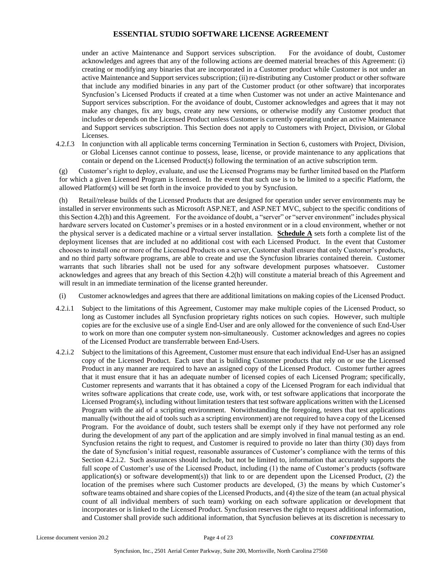under an active Maintenance and Support services subscription. For the avoidance of doubt, Customer acknowledges and agrees that any of the following actions are deemed material breaches of this Agreement: (i) creating or modifying any binaries that are incorporated in a Customer product while Customer is not under an active Maintenance and Support services subscription; (ii) re-distributing any Customer product or other software that include any modified binaries in any part of the Customer product (or other software) that incorporates Syncfusion's Licensed Products if created at a time when Customer was not under an active Maintenance and Support services subscription. For the avoidance of doubt, Customer acknowledges and agrees that it may not make any changes, fix any bugs, create any new versions, or otherwise modify any Customer product that includes or depends on the Licensed Product unless Customer is currently operating under an active Maintenance and Support services subscription. This Section does not apply to Customers with Project, Division, or Global Licenses.

4.2.f.3 In conjunction with all applicable terms concerning Termination in Section 6, customers with Project, Division, or Global Licenses cannot continue to possess, lease, license, or provide maintenance to any applications that contain or depend on the Licensed Product(s) following the termination of an active subscription term.

(g) Customer's right to deploy, evaluate, and use the Licensed Programs may be further limited based on the Platform for which a given Licensed Program is licensed. In the event that such use is to be limited to a specific Platform, the allowed Platform(s) will be set forth in the invoice provided to you by Syncfusion.

(h) Retail/release builds of the Licensed Products that are designed for operation under server environments may be installed in server environments such as Microsoft ASP.NET, and ASP.NET MVC, subject to the specific conditions of this Section 4.2(h) and this Agreement. For the avoidance of doubt, a "server" or "server environment" includes physical hardware servers located on Customer's premises or in a hosted environment or in a cloud environment, whether or not the physical server is a dedicated machine or a virtual server installation. **Schedule A** sets forth a complete list of the deployment licenses that are included at no additional cost with each Licensed Product. In the event that Customer chooses to install one or more of the Licensed Products on a server, Customer shall ensure that only Customer's products, and no third party software programs, are able to create and use the Syncfusion libraries contained therein. Customer warrants that such libraries shall not be used for any software development purposes whatsoever. Customer acknowledges and agrees that any breach of this Section 4.2(h) will constitute a material breach of this Agreement and will result in an immediate termination of the license granted hereunder.

- (i) Customer acknowledges and agrees that there are additional limitations on making copies of the Licensed Product.
- 4.2.i.1 Subject to the limitations of this Agreement, Customer may make multiple copies of the Licensed Product, so long as Customer includes all Syncfusion proprietary rights notices on such copies. However, such multiple copies are for the exclusive use of a single End-User and are only allowed for the convenience of such End-User to work on more than one computer system non-simultaneously. Customer acknowledges and agrees no copies of the Licensed Product are transferrable between End-Users.
- 4.2.i.2 Subject to the limitations of this Agreement, Customer must ensure that each individual End-User has an assigned copy of the Licensed Product. Each user that is building Customer products that rely on or use the Licensed Product in any manner are required to have an assigned copy of the Licensed Product. Customer further agrees that it must ensure that it has an adequate number of licensed copies of each Licensed Program; specifically, Customer represents and warrants that it has obtained a copy of the Licensed Program for each individual that writes software applications that create code, use, work with, or test software applications that incorporate the Licensed Program(s), including without limitation testers that test software applications written with the Licensed Program with the aid of a scripting environment. Notwithstanding the foregoing, testers that test applications manually (without the aid of tools such as a scripting environment) are not required to have a copy of the Licensed Program. For the avoidance of doubt, such testers shall be exempt only if they have not performed any role during the development of any part of the application and are simply involved in final manual testing as an end. Syncfusion retains the right to request, and Customer is required to provide no later than thirty (30) days from the date of Syncfusion's initial request, reasonable assurances of Customer's compliance with the terms of this Section 4.2.i.2. Such assurances should include, but not be limited to, information that accurately supports the full scope of Customer's use of the Licensed Product, including (1) the name of Customer's products (software application(s) or software development(s)) that link to or are dependent upon the Licensed Product, (2) the location of the premises where such Customer products are developed, (3) the means by which Customer's software teams obtained and share copies of the Licensed Products, and (4) the size of the team (an actual physical count of all individual members of such team) working on each software application or development that incorporates or is linked to the Licensed Product. Syncfusion reserves the right to request additional information, and Customer shall provide such additional information, that Syncfusion believes at its discretion is necessary to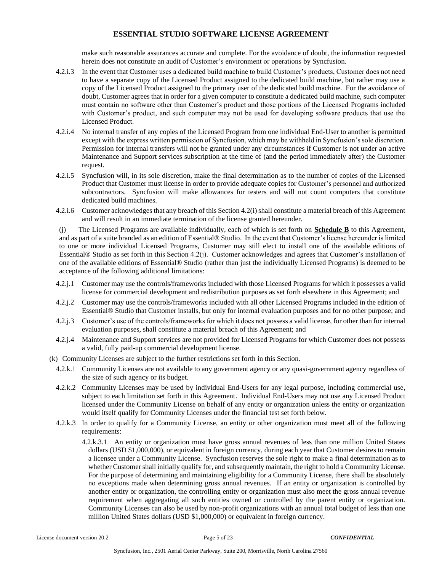make such reasonable assurances accurate and complete. For the avoidance of doubt, the information requested herein does not constitute an audit of Customer's environment or operations by Syncfusion.

- 4.2.i.3 In the event that Customer uses a dedicated build machine to build Customer's products, Customer does not need to have a separate copy of the Licensed Product assigned to the dedicated build machine, but rather may use a copy of the Licensed Product assigned to the primary user of the dedicated build machine. For the avoidance of doubt, Customer agrees that in order for a given computer to constitute a dedicated build machine, such computer must contain no software other than Customer's product and those portions of the Licensed Programs included with Customer's product, and such computer may not be used for developing software products that use the Licensed Product.
- 4.2.i.4 No internal transfer of any copies of the Licensed Program from one individual End-User to another is permitted except with the express written permission of Syncfusion, which may be withheld in Syncfusion's sole discretion. Permission for internal transfers will not be granted under any circumstances if Customer is not under an active Maintenance and Support services subscription at the time of (and the period immediately after) the Customer request.
- 4.2.i.5 Syncfusion will, in its sole discretion, make the final determination as to the number of copies of the Licensed Product that Customer must license in order to provide adequate copies for Customer's personnel and authorized subcontractors. Syncfusion will make allowances for testers and will not count computers that constitute dedicated build machines.
- 4.2.i.6 Customer acknowledges that any breach of this Section 4.2(i) shall constitute a material breach of this Agreement and will result in an immediate termination of the license granted hereunder.

(j) The Licensed Programs are available individually, each of which is set forth on **Schedule B** to this Agreement, and as part of a suite branded as an edition of Essential® Studio. In the event that Customer's license hereunder is limited to one or more individual Licensed Programs, Customer may still elect to install one of the available editions of Essential® Studio as set forth in this Section 4.2(j). Customer acknowledges and agrees that Customer's installation of one of the available editions of Essential® Studio (rather than just the individually Licensed Programs) is deemed to be acceptance of the following additional limitations:

- 4.2.j.1 Customer may use the controls/frameworks included with those Licensed Programs for which it possesses a valid license for commercial development and redistribution purposes as set forth elsewhere in this Agreement; and
- 4.2.j.2 Customer may use the controls/frameworks included with all other Licensed Programs included in the edition of Essential® Studio that Customer installs, but only for internal evaluation purposes and for no other purpose; and
- 4.2.j.3 Customer's use of the controls/frameworks for which it does not possess a valid license, for other than for internal evaluation purposes, shall constitute a material breach of this Agreement; and
- 4.2.j.4 Maintenance and Support services are not provided for Licensed Programs for which Customer does not possess a valid, fully paid-up commercial development license.
- (k) Community Licenses are subject to the further restrictions set forth in this Section.
	- 4.2.k.1 Community Licenses are not available to any government agency or any quasi-government agency regardless of the size of such agency or its budget.
	- 4.2.k.2 Community Licenses may be used by individual End-Users for any legal purpose, including commercial use, subject to each limitation set forth in this Agreement. Individual End-Users may not use any Licensed Product licensed under the Community License on behalf of any entity or organization unless the entity or organization would itself qualify for Community Licenses under the financial test set forth below.
	- 4.2.k.3 In order to qualify for a Community License, an entity or other organization must meet all of the following requirements:
		- 4.2.k.3.1 An entity or organization must have gross annual revenues of less than one million United States dollars (USD \$1,000,000), or equivalent in foreign currency, during each year that Customer desires to remain a licensee under a Community License. Syncfusion reserves the sole right to make a final determination as to whether Customer shall initially qualify for, and subsequently maintain, the right to hold a Community License. For the purpose of determining and maintaining eligibility for a Community License, there shall be absolutely no exceptions made when determining gross annual revenues. If an entity or organization is controlled by another entity or organization, the controlling entity or organization must also meet the gross annual revenue requirement when aggregating all such entities owned or controlled by the parent entity or organization. Community Licenses can also be used by non-profit organizations with an annual total budget of less than one million United States dollars (USD \$1,000,000) or equivalent in foreign currency.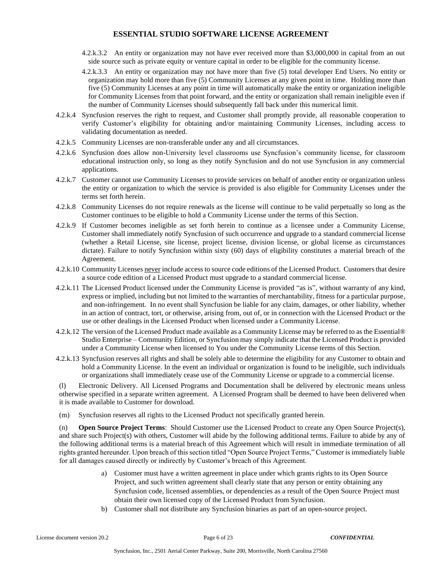- 4.2.k.3.2 An entity or organization may not have ever received more than \$3,000,000 in capital from an out side source such as private equity or venture capital in order to be eligible for the community license.
- 4.2.k.3.3 An entity or organization may not have more than five (5) total developer End Users. No entity or organization may hold more than five (5) Community Licenses at any given point in time. Holding more than five (5) Community Licenses at any point in time will automatically make the entity or organization ineligible for Community Licenses from that point forward, and the entity or organization shall remain ineligible even if the number of Community Licenses should subsequently fall back under this numerical limit.
- 4.2.k.4 Syncfusion reserves the right to request, and Customer shall promptly provide, all reasonable cooperation to verify Customer's eligibility for obtaining and/or maintaining Community Licenses, including access to validating documentation as needed.
- 4.2.k.5 Community Licenses are non-transferable under any and all circumstances.
- 4.2.k.6 Syncfusion does allow non-University level classrooms use Syncfusion's community license, for classroom educational instruction only, so long as they notify Syncfusion and do not use Syncfusion in any commercial applications.
- 4.2.k.7 Customer cannot use Community Licenses to provide services on behalf of another entity or organization unless the entity or organization to which the service is provided is also eligible for Community Licenses under the terms set forth herein.
- 4.2.k.8 Community Licenses do not require renewals as the license will continue to be valid perpetually so long as the Customer continues to be eligible to hold a Community License under the terms of this Section.
- 4.2.k.9 If Customer becomes ineligible as set forth herein to continue as a licensee under a Community License, Customer shall immediately notify Syncfusion of such occurrence and upgrade to a standard commercial license (whether a Retail License, site license, project license, division license, or global license as circumstances dictate). Failure to notify Syncfusion within sixty (60) days of eligibility constitutes a material breach of the Agreement.
- 4.2.k.10 Community Licenses never include access to source code editions of the Licensed Product. Customers that desire a source code edition of a Licensed Product must upgrade to a standard commercial license.
- 4.2.k.11 The Licensed Product licensed under the Community License is provided "as is", without warranty of any kind, express or implied, including but not limited to the warranties of merchantability, fitness for a particular purpose, and non-infringement. In no event shall Syncfusion be liable for any claim, damages, or other liability, whether in an action of contract, tort, or otherwise, arising from, out of, or in connection with the Licensed Product or the use or other dealings in the Licensed Product when licensed under a Community License.
- 4.2.k.12 The version of the Licensed Product made available as a Community License may be referred to as the Essential® Studio Enterprise – Community Edition, or Syncfusion may simply indicate that the Licensed Product is provided under a Community License when licensed to You under the Community License terms of this Section.
- 4.2.k.13 Syncfusion reserves all rights and shall be solely able to determine the eligibility for any Customer to obtain and hold a Community License. In the event an individual or organization is found to be ineligible, such individuals or organizations shall immediately cease use of the Community License or upgrade to a commercial license.

(l) Electronic Delivery. All Licensed Programs and Documentation shall be delivered by electronic means unless otherwise specified in a separate written agreement. A Licensed Program shall be deemed to have been delivered when it is made available to Customer for download.

(m) Syncfusion reserves all rights to the Licensed Product not specifically granted herein.

(n) **Open Source Project Terms**: Should Customer use the Licensed Product to create any Open Source Project(s), and share such Project(s) with others, Customer will abide by the following additional terms. Failure to abide by any of the following additional terms is a material breach of this Agreement which will result in immediate termination of all rights granted hereunder. Upon breach of this section titled "Open Source Project Terms," Customer is immediately liable for all damages caused directly or indirectly by Customer's breach of this Agreement.

- a) Customer must have a written agreement in place under which grants rights to its Open Source Project, and such written agreement shall clearly state that any person or entity obtaining any Syncfusion code, licensed assemblies, or dependencies as a result of the Open Source Project must obtain their own licensed copy of the Licensed Product from Syncfusion.
- b) Customer shall not distribute any Syncfusion binaries as part of an open-source project.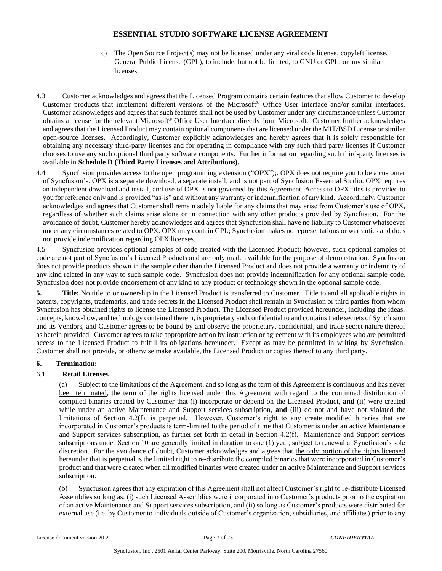- c) The Open Source Project(s) may not be licensed under any viral code license, copyleft license, General Public License (GPL), to include, but not be limited, to GNU or GPL, or any similar licenses.
- 4.3 Customer acknowledges and agrees that the Licensed Program contains certain features that allow Customer to develop Customer products that implement different versions of the Microsoft® Office User Interface and/or similar interfaces. Customer acknowledges and agrees that such features shall not be used by Customer under any circumstance unless Customer obtains a license for the relevant Microsoft® Office User Interface directly from Microsoft. Customer further acknowledges and agrees that the Licensed Product may contain optional components that are licensed under the MIT/BSD License or similar open-source licenses. Accordingly, Customer explicitly acknowledges and hereby agrees that it is solely responsible for obtaining any necessary third-party licenses and for operating in compliance with any such third party licenses if Customer chooses to use any such optional third party software components. Further information regarding such third-party licenses is available in **Schedule D (Third Party Licenses and Attributions).**
- 4.4 Syncfusion provides access to the open programming extension ("**OPX**");. OPX does not require you to be a customer of Syncfusion's. OPX is a separate download, a separate install, and is not part of Syncfusion Essential Studio. OPX requires an independent download and install, and use of OPX is not governed by this Agreement. Access to OPX files is provided to you for reference only and is provided "as-is" and without any warranty or indemnification of any kind. Accordingly, Customer acknowledges and agrees that Customer shall remain solely liable for any claims that may arise from Customer's use of OPX, regardless of whether such claims arise alone or in connection with any other products provided by Syncfusion. For the avoidance of doubt, Customer hereby acknowledges and agrees that Syncfusion shall have no liability to Customer whatsoever under any circumstances related to OPX. OPX may contain GPL; Syncfusion makes no representations or warranties and does not provide indemnification regarding OPX licenses.

4.5 Syncfusion provides optional samples of code created with the Licensed Product; however, such optional samples of code are not part of Syncfusion's Licensed Products and are only made available for the purpose of demonstration. Syncfusion does not provide products shown in the sample other than the Licensed Product and does not provide a warranty or indemnity of any kind related in any way to such sample code. Syncfusion does not provide indemnification for any optional sample code. Syncfusion does not provide endorsement of any kind to any product or technology shown in the optional sample code.

**5. Title:** No title to or ownership in the Licensed Product is transferred to Customer. Title to and all applicable rights in patents, copyrights, trademarks, and trade secrets in the Licensed Product shall remain in Syncfusion or third parties from whom Syncfusion has obtained rights to license the Licensed Product. The Licensed Product provided hereunder, including the ideas, concepts, know-how, and technology contained therein, is proprietary and confidential to and contains trade secrets of Syncfusion and its Vendors, and Customer agrees to be bound by and observe the proprietary, confidential, and trade secret nature thereof as herein provided. Customer agrees to take appropriate action by instruction or agreement with its employees who are permitted access to the Licensed Product to fulfill its obligations hereunder. Except as may be permitted in writing by Syncfusion, Customer shall not provide, or otherwise make available, the Licensed Product or copies thereof to any third party.

#### **6. Termination:**

#### 6.1 **Retail Licenses**

(a) Subject to the limitations of the Agreement, and so long as the term of this Agreement is continuous and has never been terminated, the term of the rights licensed under this Agreement with regard to the continued distribution of compiled binaries created by Customer that (i) incorporate or depend on the Licensed Product, **and** (ii) were created while under an active Maintenance and Support services subscription, **and** (iii) do not and have not violated the limitations of Section 4.2(f), is perpetual. However, Customer's right to any create modified binaries that are incorporated in Customer's products is term-limited to the period of time that Customer is under an active Maintenance and Support services subscription, as further set forth in detail in Section 4.2(f). Maintenance and Support services subscriptions under Section 10 are generally limited in duration to one (1) year, subject to renewal at Syncfusion's sole discretion. For the avoidance of doubt, Customer acknowledges and agrees that the only portion of the rights licensed hereunder that is perpetual is the limited right to re-distribute the compiled binaries that were incorporated in Customer's product and that were created when all modified binaries were created under an active Maintenance and Support services subscription.

(b) Syncfusion agrees that any expiration of this Agreement shall not affect Customer's right to re-distribute Licensed Assemblies so long as: (i) such Licensed Assemblies were incorporated into Customer's products prior to the expiration of an active Maintenance and Support services subscription, and (ii) so long as Customer's products were distributed for external use (i.e. by Customer to individuals outside of Customer's organization, subsidiaries, and affiliates) prior to any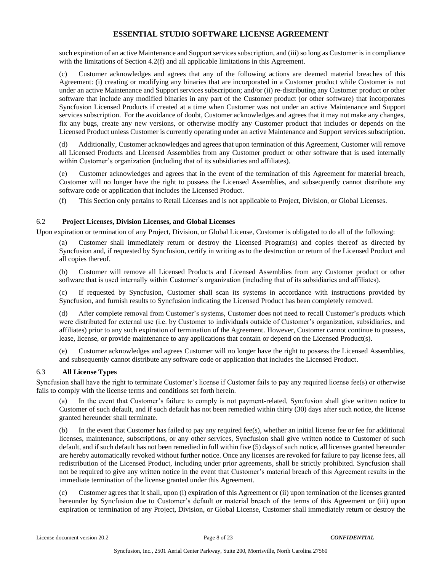such expiration of an active Maintenance and Support services subscription, and (iii) so long as Customer is in compliance with the limitations of Section 4.2(f) and all applicable limitations in this Agreement.

(c) Customer acknowledges and agrees that any of the following actions are deemed material breaches of this Agreement: (i) creating or modifying any binaries that are incorporated in a Customer product while Customer is not under an active Maintenance and Support services subscription; and/or (ii) re-distributing any Customer product or other software that include any modified binaries in any part of the Customer product (or other software) that incorporates Syncfusion Licensed Products if created at a time when Customer was not under an active Maintenance and Support services subscription. For the avoidance of doubt, Customer acknowledges and agrees that it may not make any changes, fix any bugs, create any new versions, or otherwise modify any Customer product that includes or depends on the Licensed Product unless Customer is currently operating under an active Maintenance and Support services subscription.

(d) Additionally, Customer acknowledges and agrees that upon termination of this Agreement, Customer will remove all Licensed Products and Licensed Assemblies from any Customer product or other software that is used internally within Customer's organization (including that of its subsidiaries and affiliates).

(e) Customer acknowledges and agrees that in the event of the termination of this Agreement for material breach, Customer will no longer have the right to possess the Licensed Assemblies, and subsequently cannot distribute any software code or application that includes the Licensed Product.

(f) This Section only pertains to Retail Licenses and is not applicable to Project, Division, or Global Licenses.

### 6.2 **Project Licenses, Division Licenses, and Global Licenses**

Upon expiration or termination of any Project, Division, or Global License, Customer is obligated to do all of the following:

(a) Customer shall immediately return or destroy the Licensed Program(s) and copies thereof as directed by Syncfusion and, if requested by Syncfusion, certify in writing as to the destruction or return of the Licensed Product and all copies thereof.

(b) Customer will remove all Licensed Products and Licensed Assemblies from any Customer product or other software that is used internally within Customer's organization (including that of its subsidiaries and affiliates).

(c) If requested by Syncfusion, Customer shall scan its systems in accordance with instructions provided by Syncfusion, and furnish results to Syncfusion indicating the Licensed Product has been completely removed.

(d) After complete removal from Customer's systems, Customer does not need to recall Customer's products which were distributed for external use (i.e. by Customer to individuals outside of Customer's organization, subsidiaries, and affiliates) prior to any such expiration of termination of the Agreement. However, Customer cannot continue to possess, lease, license, or provide maintenance to any applications that contain or depend on the Licensed Product(s).

(e) Customer acknowledges and agrees Customer will no longer have the right to possess the Licensed Assemblies, and subsequently cannot distribute any software code or application that includes the Licensed Product.

#### 6.3 **All License Types**

Syncfusion shall have the right to terminate Customer's license if Customer fails to pay any required license fee(s) or otherwise fails to comply with the license terms and conditions set forth herein.

(a) In the event that Customer's failure to comply is not payment-related, Syncfusion shall give written notice to Customer of such default, and if such default has not been remedied within thirty (30) days after such notice, the license granted hereunder shall terminate.

(b) In the event that Customer has failed to pay any required fee(s), whether an initial license fee or fee for additional licenses, maintenance, subscriptions, or any other services, Syncfusion shall give written notice to Customer of such default, and if such default has not been remedied in full within five (5) days of such notice, all licenses granted hereunder are hereby automatically revoked without further notice. Once any licenses are revoked for failure to pay license fees, all redistribution of the Licensed Product, including under prior agreements, shall be strictly prohibited. Syncfusion shall not be required to give any written notice in the event that Customer's material breach of this Agreement results in the immediate termination of the license granted under this Agreement.

(c) Customer agrees that it shall, upon (i) expiration of this Agreement or (ii) upon termination of the licenses granted hereunder by Syncfusion due to Customer's default or material breach of the terms of this Agreement or (iii) upon expiration or termination of any Project, Division, or Global License, Customer shall immediately return or destroy the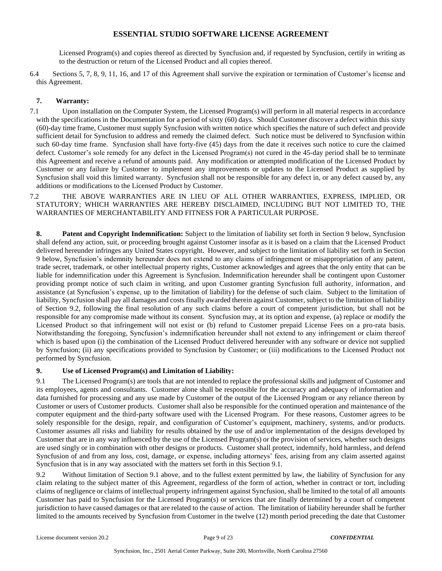Licensed Program(s) and copies thereof as directed by Syncfusion and, if requested by Syncfusion, certify in writing as to the destruction or return of the Licensed Product and all copies thereof.

6.4 Sections 5, 7, 8, 9, 11, 16, and 17 of this Agreement shall survive the expiration or termination of Customer's license and this Agreement.

# **7. Warranty:**

- 7.1 Upon installation on the Computer System, the Licensed Program(s) will perform in all material respects in accordance with the specifications in the Documentation for a period of sixty (60) days. Should Customer discover a defect within this sixty (60)-day time frame, Customer must supply Syncfusion with written notice which specifies the nature of such defect and provide sufficient detail for Syncfusion to address and remedy the claimed defect. Such notice must be delivered to Syncfusion within such 60-day time frame. Syncfusion shall have forty-five (45) days from the date it receives such notice to cure the claimed defect. Customer's sole remedy for any defect in the Licensed Program(s) not cured in the 45-day period shall be to terminate this Agreement and receive a refund of amounts paid. Any modification or attempted modification of the Licensed Product by Customer or any failure by Customer to implement any improvements or updates to the Licensed Product as supplied by Syncfusion shall void this limited warranty. Syncfusion shall not be responsible for any defect in, or any defect caused by, any additions or modifications to the Licensed Product by Customer.
- 7.2 THE ABOVE WARRANTIES ARE IN LIEU OF ALL OTHER WARRANTIES, EXPRESS, IMPLIED, OR STATUTORY; WHICH WARRANTIES ARE HEREBY DISCLAIMED, INCLUDING BUT NOT LIMITED TO, THE WARRANTIES OF MERCHANTABILITY AND FITNESS FOR A PARTICULAR PURPOSE.

**8. Patent and Copyright Indemnification:** Subject to the limitation of liability set forth in Section 9 below, Syncfusion shall defend any action, suit, or proceeding brought against Customer insofar as it is based on a claim that the Licensed Product delivered hereunder infringes any United States copyright. However, and subject to the limitation of liability set forth in Section 9 below, Syncfusion's indemnity hereunder does not extend to any claims of infringement or misappropriation of any patent, trade secret, trademark, or other intellectual property rights, Customer acknowledges and agrees that the only entity that can be liable for indemnification under this Agreement is Syncfusion. Indemnification hereunder shall be contingent upon Customer providing prompt notice of such claim in writing, and upon Customer granting Syncfusion full authority, information, and assistance (at Syncfusion's expense, up to the limitation of liability) for the defense of such claim. Subject to the limitation of liability, Syncfusion shall pay all damages and costs finally awarded therein against Customer, subject to the limitation of liability of Section 9.2, following the final resolution of any such claims before a court of competent jurisdiction, but shall not be responsible for any compromise made without its consent. Syncfusion may, at its option and expense, (a) replace or modify the Licensed Product so that infringement will not exist or (b) refund to Customer prepaid License Fees on a pro-rata basis. Notwithstanding the foregoing, Syncfusion's indemnification hereunder shall not extend to any infringement or claim thereof which is based upon (i) the combination of the Licensed Product delivered hereunder with any software or device not supplied by Syncfusion; (ii) any specifications provided to Syncfusion by Customer; or (iii) modifications to the Licensed Product not performed by Syncfusion.

# **9. Use of Licensed Program(s) and Limitation of Liability:**

9.1 The Licensed Program(s) are tools that are not intended to replace the professional skills and judgment of Customer and its employees, agents and consultants. Customer alone shall be responsible for the accuracy and adequacy of information and data furnished for processing and any use made by Customer of the output of the Licensed Program or any reliance thereon by Customer or users of Customer products. Customer shall also be responsible for the continued operation and maintenance of the computer equipment and the third-party software used with the Licensed Program. For these reasons, Customer agrees to be solely responsible for the design, repair, and configuration of Customer's equipment, machinery, systems, and/or products. Customer assumes all risks and liability for results obtained by the use of and/or implementation of the designs developed by Customer that are in any way influenced by the use of the Licensed Program(s) or the provision of services, whether such designs are used singly or in combination with other designs or products. Customer shall protect, indemnify, hold harmless, and defend Syncfusion of and from any loss, cost, damage, or expense, including attorneys' fees, arising from any claim asserted against Syncfusion that is in any way associated with the matters set forth in this Section 9.1.

9.2 Without limitation of Section 9.1 above, and to the fullest extent permitted by law, the liability of Syncfusion for any claim relating to the subject matter of this Agreement, regardless of the form of action, whether in contract or tort, including claims of negligence or claims of intellectual property infringement against Syncfusion, shall be limited to the total of all amounts Customer has paid to Syncfusion for the Licensed Program(s) or services that are finally determined by a court of competent jurisdiction to have caused damages or that are related to the cause of action. The limitation of liability hereunder shall be further limited to the amounts received by Syncfusion from Customer in the twelve (12) month period preceding the date that Customer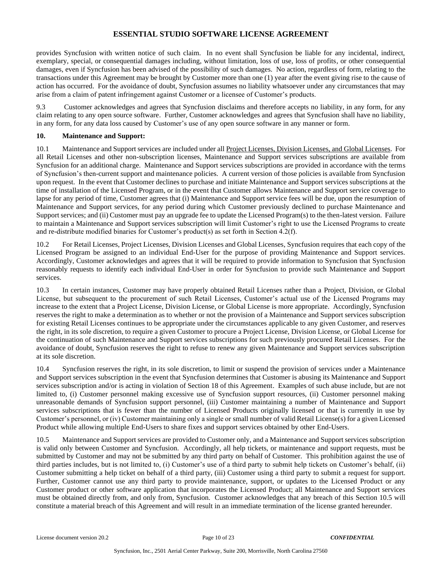provides Syncfusion with written notice of such claim. In no event shall Syncfusion be liable for any incidental, indirect, exemplary, special, or consequential damages including, without limitation, loss of use, loss of profits, or other consequential damages, even if Syncfusion has been advised of the possibility of such damages. No action, regardless of form, relating to the transactions under this Agreement may be brought by Customer more than one (1) year after the event giving rise to the cause of action has occurred. For the avoidance of doubt, Syncfusion assumes no liability whatsoever under any circumstances that may arise from a claim of patent infringement against Customer or a licensee of Customer's products.

9.3 Customer acknowledges and agrees that Syncfusion disclaims and therefore accepts no liability, in any form, for any claim relating to any open source software. Further, Customer acknowledges and agrees that Syncfusion shall have no liability, in any form, for any data loss caused by Customer's use of any open source software in any manner or form.

### **10. Maintenance and Support:**

10.1 Maintenance and Support services are included under all Project Licenses, Division Licenses, and Global Licenses. For all Retail Licenses and other non-subscription licenses, Maintenance and Support services subscriptions are available from Syncfusion for an additional charge. Maintenance and Support services subscriptions are provided in accordance with the terms of Syncfusion's then-current support and maintenance policies. A current version of those policies is available from Syncfusion upon request. In the event that Customer declines to purchase and initiate Maintenance and Support services subscriptions at the time of installation of the Licensed Program, or in the event that Customer allows Maintenance and Support service coverage to lapse for any period of time, Customer agrees that (i) Maintenance and Support service fees will be due, upon the resumption of Maintenance and Support services, for any period during which Customer previously declined to purchase Maintenance and Support services; and (ii) Customer must pay an upgrade fee to update the Licensed Program(s) to the then-latest version. Failure to maintain a Maintenance and Support services subscription will limit Customer's right to use the Licensed Programs to create and re-distribute modified binaries for Customer's product(s) as set forth in Section 4.2(f).

10.2 For Retail Licenses, Project Licenses, Division Licenses and Global Licenses, Syncfusion requires that each copy of the Licensed Program be assigned to an individual End-User for the purpose of providing Maintenance and Support services. Accordingly, Customer acknowledges and agrees that it will be required to provide information to Syncfusion that Syncfusion reasonably requests to identify each individual End-User in order for Syncfusion to provide such Maintenance and Support services.

10.3 In certain instances, Customer may have properly obtained Retail Licenses rather than a Project, Division, or Global License, but subsequent to the procurement of such Retail Licenses, Customer's actual use of the Licensed Programs may increase to the extent that a Project License, Division License, or Global License is more appropriate. Accordingly, Syncfusion reserves the right to make a determination as to whether or not the provision of a Maintenance and Support services subscription for existing Retail Licenses continues to be appropriate under the circumstances applicable to any given Customer, and reserves the right, in its sole discretion, to require a given Customer to procure a Project License, Division License, or Global License for the continuation of such Maintenance and Support services subscriptions for such previously procured Retail Licenses. For the avoidance of doubt, Syncfusion reserves the right to refuse to renew any given Maintenance and Support services subscription at its sole discretion.

10.4 Syncfusion reserves the right, in its sole discretion, to limit or suspend the provision of services under a Maintenance and Support services subscription in the event that Syncfusion determines that Customer is abusing its Maintenance and Support services subscription and/or is acting in violation of Section 18 of this Agreement. Examples of such abuse include, but are not limited to, (i) Customer personnel making excessive use of Syncfusion support resources, (ii) Customer personnel making unreasonable demands of Syncfusion support personnel, (iii) Customer maintaining a number of Maintenance and Support services subscriptions that is fewer than the number of Licensed Products originally licensed or that is currently in use by Customer's personnel, or (iv) Customer maintaining only a single or small number of valid Retail License(s) for a given Licensed Product while allowing multiple End-Users to share fixes and support services obtained by other End-Users.

10.5 Maintenance and Support services are provided to Customer only, and a Maintenance and Support services subscription is valid only between Customer and Syncfusion. Accordingly, all help tickets, or maintenance and support requests, must be submitted by Customer and may not be submitted by any third party on behalf of Customer. This prohibition against the use of third parties includes, but is not limited to, (i) Customer's use of a third party to submit help tickets on Customer's behalf, (ii) Customer submitting a help ticket on behalf of a third party, (iii) Customer using a third party to submit a request for support. Further, Customer cannot use any third party to provide maintenance, support, or updates to the Licensed Product or any Customer product or other software application that incorporates the Licensed Product; all Maintenance and Support services must be obtained directly from, and only from, Syncfusion. Customer acknowledges that any breach of this Section 10.5 will constitute a material breach of this Agreement and will result in an immediate termination of the license granted hereunder.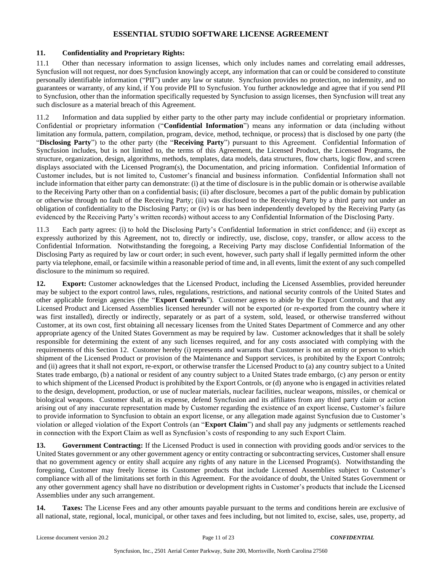#### **11. Confidentiality and Proprietary Rights:**

11.1 Other than necessary information to assign licenses, which only includes names and correlating email addresses, Syncfusion will not request, nor does Syncfusion knowingly accept, any information that can or could be considered to constitute personally identifiable information ("PII") under any law or statute. Syncfusion provides no protection, no indemnity, and no guarantees or warranty, of any kind, if You provide PII to Syncfusion. You further acknowledge and agree that if you send PII to Syncfusion, other than the information specifically requested by Syncfusion to assign licenses, then Syncfusion will treat any such disclosure as a material breach of this Agreement.

11.2 Information and data supplied by either party to the other party may include confidential or proprietary information. Confidential or proprietary information ("**Confidential Information**") means any information or data (including without limitation any formula, pattern, compilation, program, device, method, technique, or process) that is disclosed by one party (the "**Disclosing Party**") to the other party (the "**Receiving Party**") pursuant to this Agreement. Confidential Information of Syncfusion includes, but is not limited to, the terms of this Agreement, the Licensed Product, the Licensed Programs, the structure, organization, design, algorithms, methods, templates, data models, data structures, flow charts, logic flow, and screen displays associated with the Licensed Program(s), the Documentation, and pricing information. Confidential Information of Customer includes, but is not limited to, Customer's financial and business information. Confidential Information shall not include information that either party can demonstrate: (i) at the time of disclosure is in the public domain or is otherwise available to the Receiving Party other than on a confidential basis; (ii) after disclosure, becomes a part of the public domain by publication or otherwise through no fault of the Receiving Party; (iii) was disclosed to the Receiving Party by a third party not under an obligation of confidentiality to the Disclosing Party; or (iv) is or has been independently developed by the Receiving Party (as evidenced by the Receiving Party's written records) without access to any Confidential Information of the Disclosing Party.

11.3 Each party agrees: (i) to hold the Disclosing Party's Confidential Information in strict confidence; and (ii) except as expressly authorized by this Agreement, not to, directly or indirectly, use, disclose, copy, transfer, or allow access to the Confidential Information. Notwithstanding the foregoing, a Receiving Party may disclose Confidential Information of the Disclosing Party as required by law or court order; in such event, however, such party shall if legally permitted inform the other party via telephone, email, or facsimile within a reasonable period of time and, in all events, limit the extent of any such compelled disclosure to the minimum so required.

**12. Export:** Customer acknowledges that the Licensed Product, including the Licensed Assemblies, provided hereunder may be subject to the export control laws, rules, regulations, restrictions, and national security controls of the United States and other applicable foreign agencies (the "**Export Controls**"). Customer agrees to abide by the Export Controls, and that any Licensed Product and Licensed Assemblies licensed hereunder will not be exported (or re-exported from the country where it was first installed), directly or indirectly, separately or as part of a system, sold, leased, or otherwise transferred without Customer, at its own cost, first obtaining all necessary licenses from the United States Department of Commerce and any other appropriate agency of the United States Government as may be required by law. Customer acknowledges that it shall be solely responsible for determining the extent of any such licenses required, and for any costs associated with complying with the requirements of this Section 12. Customer hereby (i) represents and warrants that Customer is not an entity or person to which shipment of the Licensed Product or provision of the Maintenance and Support services, is prohibited by the Export Controls; and (ii) agrees that it shall not export, re-export, or otherwise transfer the Licensed Product to (a) any country subject to a United States trade embargo, (b) a national or resident of any country subject to a United States trade embargo, (c) any person or entity to which shipment of the Licensed Product is prohibited by the Export Controls, or (d) anyone who is engaged in activities related to the design, development, production, or use of nuclear materials, nuclear facilities, nuclear weapons, missiles, or chemical or biological weapons. Customer shall, at its expense, defend Syncfusion and its affiliates from any third party claim or action arising out of any inaccurate representation made by Customer regarding the existence of an export license, Customer's failure to provide information to Syncfusion to obtain an export license, or any allegation made against Syncfusion due to Customer's violation or alleged violation of the Export Controls (an "**Export Claim**") and shall pay any judgments or settlements reached in connection with the Export Claim as well as Syncfusion's costs of responding to any such Export Claim.

**13. Government Contracting:** If the Licensed Product is used in connection with providing goods and/or services to the United States government or any other government agency or entity contracting or subcontracting services, Customer shall ensure that no government agency or entity shall acquire any rights of any nature in the Licensed Program(s). Notwithstanding the foregoing, Customer may freely license its Customer products that include Licensed Assemblies subject to Customer's compliance with all of the limitations set forth in this Agreement. For the avoidance of doubt, the United States Government or any other government agency shall have no distribution or development rights in Customer's products that include the Licensed Assemblies under any such arrangement.

**14. Taxes:** The License Fees and any other amounts payable pursuant to the terms and conditions herein are exclusive of all national, state, regional, local, municipal, or other taxes and fees including, but not limited to, excise, sales, use, property, ad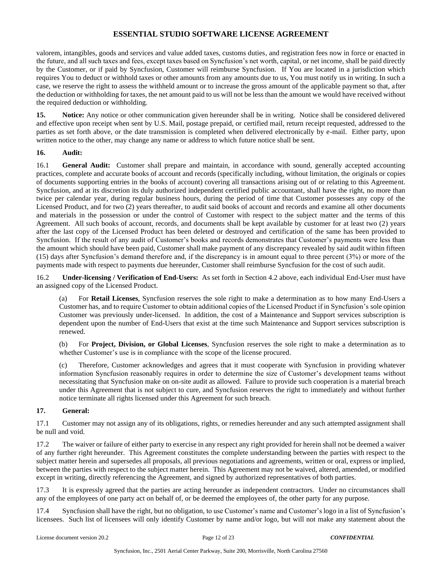valorem, intangibles, goods and services and value added taxes, customs duties, and registration fees now in force or enacted in the future, and all such taxes and fees, except taxes based on Syncfusion's net worth, capital, or net income, shall be paid directly by the Customer, or if paid by Syncfusion, Customer will reimburse Syncfusion. If You are located in a jurisdiction which requires You to deduct or withhold taxes or other amounts from any amounts due to us, You must notify us in writing. In such a case, we reserve the right to assess the withheld amount or to increase the gross amount of the applicable payment so that, after the deduction or withholding for taxes, the net amount paid to us will not be less than the amount we would have received without the required deduction or withholding.

**15. Notice:** Any notice or other communication given hereunder shall be in writing. Notice shall be considered delivered and effective upon receipt when sent by U.S. Mail, postage prepaid, or certified mail, return receipt requested, addressed to the parties as set forth above, or the date transmission is completed when delivered electronically by e-mail. Either party, upon written notice to the other, may change any name or address to which future notice shall be sent.

#### **16. Audit:**

16.1 **General Audit:** Customer shall prepare and maintain, in accordance with sound, generally accepted accounting practices, complete and accurate books of account and records (specifically including, without limitation, the originals or copies of documents supporting entries in the books of account) covering all transactions arising out of or relating to this Agreement. Syncfusion, and at its discretion its duly authorized independent certified public accountant, shall have the right, no more than twice per calendar year, during regular business hours, during the period of time that Customer possesses any copy of the Licensed Product, and for two (2) years thereafter, to audit said books of account and records and examine all other documents and materials in the possession or under the control of Customer with respect to the subject matter and the terms of this Agreement. All such books of account, records, and documents shall be kept available by customer for at least two (2) years after the last copy of the Licensed Product has been deleted or destroyed and certification of the same has been provided to Syncfusion. If the result of any audit of Customer's books and records demonstrates that Customer's payments were less than the amount which should have been paid, Customer shall make payment of any discrepancy revealed by said audit within fifteen (15) days after Syncfusion's demand therefore and, if the discrepancy is in amount equal to three percent (3%) or more of the payments made with respect to payments due hereunder, Customer shall reimburse Syncfusion for the cost of such audit.

16.2 **Under-licensing / Verification of End-Users:** As set forth in Section 4.2 above, each individual End-User must have an assigned copy of the Licensed Product.

(a) For **Retail Licenses**, Syncfusion reserves the sole right to make a determination as to how many End-Users a Customer has, and to require Customer to obtain additional copies of the Licensed Product if in Syncfusion's sole opinion Customer was previously under-licensed. In addition, the cost of a Maintenance and Support services subscription is dependent upon the number of End-Users that exist at the time such Maintenance and Support services subscription is renewed.

(b) For **Project, Division, or Global Licenses**, Syncfusion reserves the sole right to make a determination as to whether Customer's use is in compliance with the scope of the license procured.

(c) Therefore, Customer acknowledges and agrees that it must cooperate with Syncfusion in providing whatever information Syncfusion reasonably requires in order to determine the size of Customer's development teams without necessitating that Syncfusion make on on-site audit as allowed. Failure to provide such cooperation is a material breach under this Agreement that is not subject to cure, and Syncfusion reserves the right to immediately and without further notice terminate all rights licensed under this Agreement for such breach.

## **17. General:**

17.1 Customer may not assign any of its obligations, rights, or remedies hereunder and any such attempted assignment shall be null and void.

17.2 The waiver or failure of either party to exercise in any respect any right provided for herein shall not be deemed a waiver of any further right hereunder. This Agreement constitutes the complete understanding between the parties with respect to the subject matter herein and supersedes all proposals, all previous negotiations and agreements, written or oral, express or implied, between the parties with respect to the subject matter herein. This Agreement may not be waived, altered, amended, or modified except in writing, directly referencing the Agreement, and signed by authorized representatives of both parties.

17.3 It is expressly agreed that the parties are acting hereunder as independent contractors. Under no circumstances shall any of the employees of one party act on behalf of, or be deemed the employees of, the other party for any purpose.

17.4 Syncfusion shall have the right, but no obligation, to use Customer's name and Customer's logo in a list of Syncfusion's licensees. Such list of licensees will only identify Customer by name and/or logo, but will not make any statement about the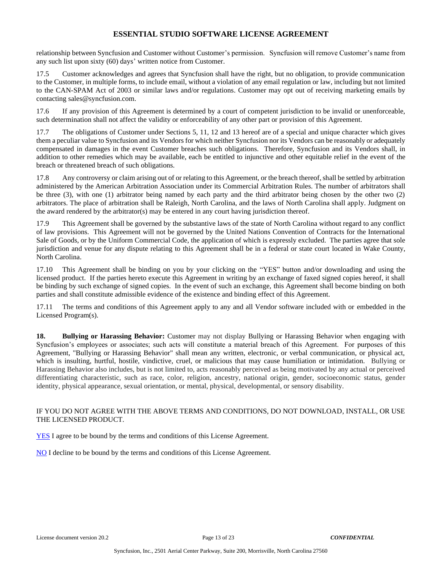relationship between Syncfusion and Customer without Customer's permission. Syncfusion will remove Customer's name from any such list upon sixty (60) days' written notice from Customer.

17.5 Customer acknowledges and agrees that Syncfusion shall have the right, but no obligation, to provide communication to the Customer, in multiple forms, to include email, without a violation of any email regulation or law, including but not limited to the CAN-SPAM Act of 2003 or similar laws and/or regulations. Customer may opt out of receiving marketing emails by contacting sales@syncfusion.com.

17.6 If any provision of this Agreement is determined by a court of competent jurisdiction to be invalid or unenforceable, such determination shall not affect the validity or enforceability of any other part or provision of this Agreement.

17.7 The obligations of Customer under Sections 5, 11, 12 and 13 hereof are of a special and unique character which gives them a peculiar value to Syncfusion and its Vendors for which neither Syncfusion nor its Vendors can be reasonably or adequately compensated in damages in the event Customer breaches such obligations. Therefore, Syncfusion and its Vendors shall, in addition to other remedies which may be available, each be entitled to injunctive and other equitable relief in the event of the breach or threatened breach of such obligations.

17.8 Any controversy or claim arising out of or relating to this Agreement, or the breach thereof, shall be settled by arbitration administered by the American Arbitration Association under its Commercial Arbitration Rules. The number of arbitrators shall be three (3), with one (1) arbitrator being named by each party and the third arbitrator being chosen by the other two (2) arbitrators. The place of arbitration shall be Raleigh, North Carolina, and the laws of North Carolina shall apply. Judgment on the award rendered by the arbitrator(s) may be entered in any court having jurisdiction thereof.

17.9 This Agreement shall be governed by the substantive laws of the state of North Carolina without regard to any conflict of law provisions. This Agreement will not be governed by the United Nations Convention of Contracts for the International Sale of Goods, or by the Uniform Commercial Code, the application of which is expressly excluded. The parties agree that sole jurisdiction and venue for any dispute relating to this Agreement shall be in a federal or state court located in Wake County, North Carolina.

17.10 This Agreement shall be binding on you by your clicking on the "YES" button and/or downloading and using the licensed product. If the parties hereto execute this Agreement in writing by an exchange of faxed signed copies hereof, it shall be binding by such exchange of signed copies. In the event of such an exchange, this Agreement shall become binding on both parties and shall constitute admissible evidence of the existence and binding effect of this Agreement.

17.11 The terms and conditions of this Agreement apply to any and all Vendor software included with or embedded in the Licensed Program(s).

**18. Bullying or Harassing Behavior:** Customer may not display Bullying or Harassing Behavior when engaging with Syncfusion's employees or associates; such acts will constitute a material breach of this Agreement. For purposes of this Agreement, "Bullying or Harassing Behavior" shall mean any written, electronic, or verbal communication, or physical act, which is insulting, hurtful, hostile, vindictive, cruel, or malicious that may cause humiliation or intimidation. Bullying or Harassing Behavior also includes, but is not limited to, acts reasonably perceived as being motivated by any actual or perceived differentiating characteristic, such as race, color, religion, ancestry, national origin, gender, socioeconomic status, gender identity, physical appearance, sexual orientation, or mental, physical, developmental, or sensory disability.

#### IF YOU DO NOT AGREE WITH THE ABOVE TERMS AND CONDITIONS, DO NOT DOWNLOAD, INSTALL, OR USE THE LICENSED PRODUCT.

YES I agree to be bound by the terms and conditions of this License Agreement.

NO I decline to be bound by the terms and conditions of this License Agreement.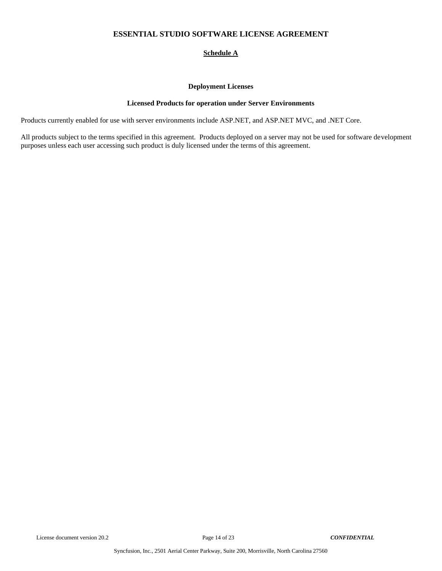## **Schedule A**

#### **Deployment Licenses**

### **Licensed Products for operation under Server Environments**

Products currently enabled for use with server environments include ASP.NET, and ASP.NET MVC, and .NET Core.

All products subject to the terms specified in this agreement. Products deployed on a server may not be used for software development purposes unless each user accessing such product is duly licensed under the terms of this agreement.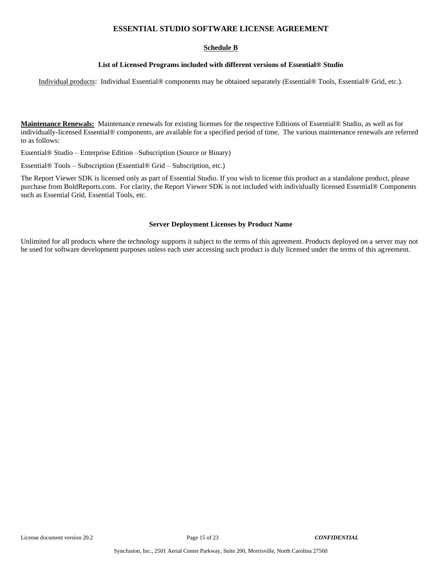### **Schedule B**

#### **List of Licensed Programs included with different versions of Essential® Studio**

Individual products: Individual Essential® components may be obtained separately (Essential® Tools, Essential® Grid, etc.).

**Maintenance Renewals:** Maintenance renewals for existing licenses for the respective Editions of Essential® Studio, as well as for individually-licensed Essential® components, are available for a specified period of time. The various maintenance renewals are referred to as follows:

Essential® Studio – Enterprise Edition –Subscription (Source or Binary)

Essential® Tools – Subscription (Essential® Grid – Subscription, etc.)

The Report Viewer SDK is licensed only as part of Essential Studio. If you wish to license this product as a standalone product, please purchase from BoldReports.com. For clarity, the Report Viewer SDK is not included with individually licensed Essential® Components such as Essential Grid, Essential Tools, etc.

#### **Server Deployment Licenses by Product Name**

Unlimited for all products where the technology supports it subject to the terms of this agreement. Products deployed on a server may not be used for software development purposes unless each user accessing such product is duly licensed under the terms of this agreement.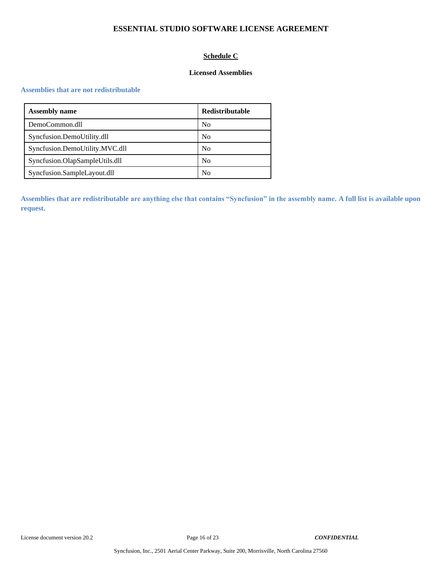# **Schedule C**

### **Licensed Assemblies**

#### **Assemblies that are not redistributable**

| <b>Assembly name</b>           | Redistributable |
|--------------------------------|-----------------|
| DemoCommon.dll                 | N <sub>0</sub>  |
| Syncfusion.DemoUtility.dll     | N <sub>0</sub>  |
| Syncfusion.DemoUtility.MVC.dll | N <sub>0</sub>  |
| Syncfusion.OlapSampleUtils.dll | N <sub>0</sub>  |
| Syncfusion.SampleLayout.dll    | N <sub>0</sub>  |

**Assemblies that are redistributable are anything else that contains "Syncfusion" in the assembly name. A full list is available upon request.**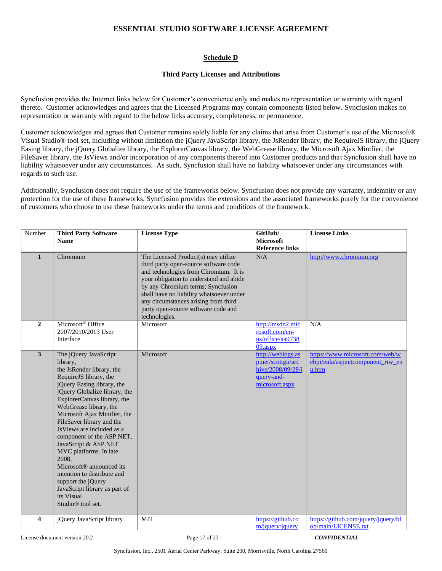## **Schedule D**

#### **Third Party Licenses and Attributions**

Syncfusion provides the Internet links below for Customer's convenience only and makes no representation or warranty with regard thereto. Customer acknowledges and agrees that the Licensed Programs may contain components listed below. Syncfusion makes no representation or warranty with regard to the below links accuracy, completeness, or permanence.

Customer acknowledges and agrees that Customer remains solely liable for any claims that arise from Customer's use of the Microsoft® Visual Studio® tool set, including without limitation the jQuery JavaScript library, the JsRender library, the RequireJS library, the jQuery Easing library, the jQuery Globalize library, the ExplorerCanvas library, the WebGrease library, the Microsoft Ajax Minifier, the FileSaver library, the JsViews and/or incorporation of any components thereof into Customer products and that Syncfusion shall have no liability whatsoever under any circumstances. As such, Syncfusion shall have no liability whatsoever under any circumstances with regards to such use.

Additionally, Syncfusion does not require the use of the frameworks below. Syncfusion does not provide any warranty, indemnity or any protection for the use of these frameworks. Syncfusion provides the extensions and the associated frameworks purely for the convenience of customers who choose to use these frameworks under the terms and conditions of the framework.

| Number                  | <b>Third Party Software</b>                                                                                                                                                                                                                                                                                                                                                                                                                                                                                                                                                     | <b>License Type</b>                                                                                                                                                                                                                                                                                                                               | GitHub/                                                                                     | <b>License Links</b>                                                         |
|-------------------------|---------------------------------------------------------------------------------------------------------------------------------------------------------------------------------------------------------------------------------------------------------------------------------------------------------------------------------------------------------------------------------------------------------------------------------------------------------------------------------------------------------------------------------------------------------------------------------|---------------------------------------------------------------------------------------------------------------------------------------------------------------------------------------------------------------------------------------------------------------------------------------------------------------------------------------------------|---------------------------------------------------------------------------------------------|------------------------------------------------------------------------------|
|                         | <b>Name</b>                                                                                                                                                                                                                                                                                                                                                                                                                                                                                                                                                                     |                                                                                                                                                                                                                                                                                                                                                   | <b>Microsoft</b><br><b>Reference links</b>                                                  |                                                                              |
| $\mathbf{1}$            | Chromium                                                                                                                                                                                                                                                                                                                                                                                                                                                                                                                                                                        | The Licensed Product(s) may utilize<br>third party open-source software code<br>and technologies from Chromium. It is<br>your obligation to understand and abide<br>by any Chromium terms; Syncfusion<br>shall have no liability whatsoever under<br>any circumstances arising from third<br>party open-source software code and<br>technologies. | N/A                                                                                         | http://www.chromium.org                                                      |
| $\boldsymbol{2}$        | Microsoft <sup>®</sup> Office<br>2007/2010/2013 User<br>Interface                                                                                                                                                                                                                                                                                                                                                                                                                                                                                                               | Microsoft                                                                                                                                                                                                                                                                                                                                         | http://msdn2.mic<br>rosoft.com/en-<br>us/office/aa9738<br>$09.$ aspx                        | N/A                                                                          |
| $\overline{\mathbf{3}}$ | The jQuery JavaScript<br>library,<br>the JsRender library, the<br>RequireJS library, the<br>jQuery Easing library, the<br>jQuery Globalize library, the<br>ExplorerCanvas library, the<br>WebGrease library, the<br>Microsoft Ajax Minifier, the<br>FileSaver library and the<br>JsViews are included as a<br>component of the ASP.NET,<br>JavaScript & ASP.NET<br>MVC platforms. In late<br>2008.<br>Microsoft <sup>®</sup> announced its<br>intention to distribute and<br>support the jQuery<br>JavaScript library as part of<br>its Visual<br>Studio <sup>®</sup> tool set. | Microsoft                                                                                                                                                                                                                                                                                                                                         | http://weblogs.as<br>p.net/scottgu/arc<br>hive/2008/09/28/j<br>query-and-<br>microsoft.aspx | https://www.microsoft.com/web/w<br>ebpi/eula/aspnetcomponent rtw en<br>u.htm |
| $\overline{\mathbf{4}}$ | iOuery JavaScript library                                                                                                                                                                                                                                                                                                                                                                                                                                                                                                                                                       | <b>MIT</b>                                                                                                                                                                                                                                                                                                                                        | https://github.co<br>m/jquery/jquery                                                        | https://github.com/jquery/jquery/bl<br>ob/main/LICENSE.txt                   |

License document version 20.2 Page 17 of 23 *CONFIDENTIAL*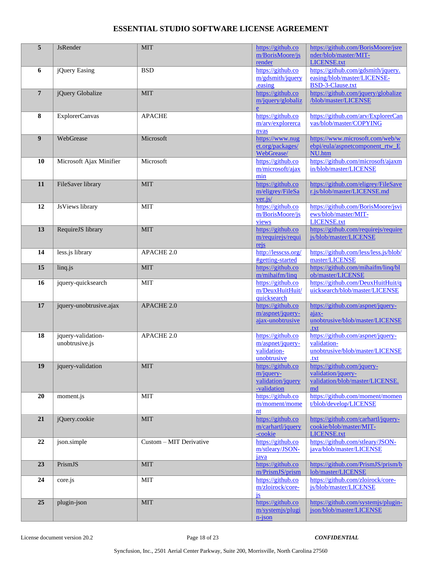| 5               | <b>JsRender</b>                      | <b>MIT</b>              | https://github.co<br>m/BorisMoore/js<br>render                        | https://github.com/BorisMoore/jsre<br>nder/blob/master/MIT-<br><b>LICENSE.txt</b>           |
|-----------------|--------------------------------------|-------------------------|-----------------------------------------------------------------------|---------------------------------------------------------------------------------------------|
| 6               | jQuery Easing                        | <b>BSD</b>              | https://github.co<br>m/gdsmith/jquery<br>easing                       | https://github.com/gdsmith/jquery.<br>easing/blob/master/LICENSE-<br>BSD-3-Clause.txt       |
| $7\overline{ }$ | jQuery Globalize                     | <b>MIT</b>              | https://github.co<br>m/jquery/globaliz<br>e                           | https://github.com/jquery/globalize<br>/blob/master/LICENSE                                 |
| 8               | ExplorerCanvas                       | <b>APACHE</b>           | https://github.co<br>m/arv/explorerca<br>nvas                         | https://github.com/arv/ExplorerCan<br>vas/blob/master/COPYING                               |
| 9               | WebGrease                            | Microsoft               | https://www.nug<br>et.org/packages/<br>WebGrease/                     | https://www.microsoft.com/web/w<br>ebpi/eula/aspnetcomponent_rtw_E<br>NU.htm                |
| 10              | Microsoft Ajax Minifier              | Microsoft               | https://github.co<br>m/microsoft/ajax<br>min                          | https://github.com/microsoft/ajaxm<br>in/blob/master/LICENSE                                |
| 11              | FileSaver library                    | <b>MIT</b>              | https://github.co<br>m/eligrey/FileSa<br>ver.is/                      | https://github.com/eligrey/FileSave<br>r.js/blob/master/LICENSE.md                          |
| 12              | JsViews library                      | <b>MIT</b>              | https://github.co<br>m/BorisMoore/js<br>views                         | https://github.com/BorisMoore/jsvi<br>ews/blob/master/MIT-<br><b>LICENSE.txt</b>            |
| 13              | RequireJS library                    | <b>MIT</b>              | https://github.co<br>m/requirejs/requi<br>rejs                        | https://github.com/requirejs/require<br>js/blob/master/LICENSE                              |
| 14              | less.js library                      | <b>APACHE 2.0</b>       | http://lesscss.org/<br>#getting-started                               | https://github.com/less/less.js/blob/<br>master/LICENSE                                     |
| 15              | linq.js                              | <b>MIT</b>              | https://github.co<br>m/mihaifm/linq                                   | https://github.com/mihaifm/linq/bl<br>ob/master/LICENSE                                     |
| 16              | jquery-quicksearch                   | <b>MIT</b>              | https://github.co<br>m/DeuxHuitHuit/<br>quicksearch                   | https://github.com/DeuxHuitHuit/q<br>uicksearch/blob/master/LICENSE                         |
| 17              | jquery-unobtrusive.ajax              | <b>APACHE 2.0</b>       | https://github.co<br>m/aspnet/jquery-<br>ajax-unobtrusive             | https://github.com/aspnet/jquery-<br>ajax-<br>unobtrusive/blob/master/LICENSE<br>.txt       |
| 18              | jquery-validation-<br>unobtrusive.js | APACHE 2.0              | https://github.co<br>m/aspnet/jquery-<br>validation-<br>unobtrusive   | https://github.com/aspnet/jquery-<br>validation-<br>unobtrusive/blob/master/LICENSE<br>.txt |
| 19              | jquery-validation                    | $\rm MIT$               | https://github.co<br>$m$ /jquery-<br>validation/jquery<br>-validation | https://github.com/jquery-<br>validation/jquery-<br>validation/blob/master/LICENSE.<br>md   |
| 20              | moment.js                            | <b>MIT</b>              | https://github.co<br>m/moment/mome<br>nt                              | https://github.com/moment/momen<br>t/blob/develop/LICENSE                                   |
| 21              | jQuery.cookie                        | <b>MIT</b>              | https://github.co<br>m/carhartl/jquery<br>-cookie                     | https://github.com/carhartl/jquery-<br>cookie/blob/master/MIT-<br><b>LICENSE.txt</b>        |
| 22              | json.simple                          | Custom - MIT Derivative | https://github.co<br>m/stleary/JSON-<br>java                          | https://github.com/stleary/JSON-<br>java/blob/master/LICENSE                                |
| 23              | PrismJS                              | <b>MIT</b>              | https://github.co<br>m/PrismJS/prism                                  | https://github.com/PrismJS/prism/b<br>lob/master/LICENSE                                    |
| 24              | core.js                              | MIT                     | https://github.co<br>m/zloirock/core-<br>is                           | https://github.com/zloirock/core-<br>js/blob/master/LICENSE                                 |
| 25              | plugin-json                          | MIT                     | https://github.co<br>m/systemjs/plugi<br>$n$ -json                    | https://github.com/systemjs/plugin-<br>json/blob/master/LICENSE                             |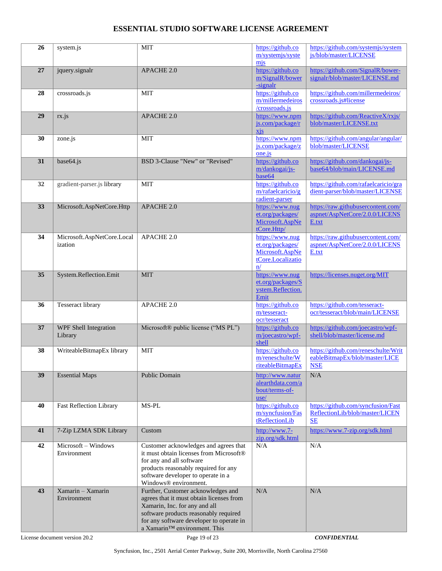| 26 | system.js                             | <b>MIT</b>                                                                                                                                                                                                                           | https://github.co<br>m/systemjs/syste<br>mis                                      | https://github.com/systemjs/system<br>js/blob/master/LICENSE                        |
|----|---------------------------------------|--------------------------------------------------------------------------------------------------------------------------------------------------------------------------------------------------------------------------------------|-----------------------------------------------------------------------------------|-------------------------------------------------------------------------------------|
| 27 | jquery.signalr                        | APACHE 2.0                                                                                                                                                                                                                           | https://github.co<br>m/SignalR/bower<br>-signalr                                  | https://github.com/SignalR/bower-<br>signalr/blob/master/LICENSE.md                 |
| 28 | crossroads.is                         | <b>MIT</b>                                                                                                                                                                                                                           | https://github.co<br>m/millermedeiros<br>/crossroads.js                           | https://github.com/millermedeiros/<br>crossroads.js#license                         |
| 29 | rx.js                                 | <b>APACHE 2.0</b>                                                                                                                                                                                                                    | https://www.npm<br>js.com/package/r<br>xis                                        | https://github.com/ReactiveX/rxjs/<br>blob/master/LICENSE.txt                       |
| 30 | zone.js                               | <b>MIT</b>                                                                                                                                                                                                                           | https://www.npm<br>js.com/package/z<br>one.js                                     | https://github.com/angular/angular/<br>blob/master/LICENSE                          |
| 31 | base64.js                             | BSD 3-Clause "New" or "Revised"                                                                                                                                                                                                      | https://github.co<br>m/dankogai/js-<br>base64                                     | https://github.com/dankogai/js-<br>base64/blob/main/LICENSE.md                      |
| 32 | gradient-parser.js library            | <b>MIT</b>                                                                                                                                                                                                                           | https://github.co<br>m/rafaelcaricio/g<br>radient-parser                          | https://github.com/rafaelcaricio/gra<br>dient-parser/blob/master/LICENSE            |
| 33 | Microsoft.AspNetCore.Http             | <b>APACHE 2.0</b>                                                                                                                                                                                                                    | https://www.nug<br>et.org/packages/<br>Microsoft.AspNe<br>tCore.Http/             | https://raw.githubusercontent.com/<br>aspnet/AspNetCore/2.0.0/LICENS<br>E.txt       |
| 34 | Microsoft.AspNetCore.Local<br>ization | APACHE 2.0                                                                                                                                                                                                                           | https://www.nug<br>et.org/packages/<br>Microsoft.AspNe<br>tCore.Localizatio<br>n/ | https://raw.githubusercontent.com/<br>aspnet/AspNetCore/2.0.0/LICENS<br>E.txt       |
| 35 | System.Reflection.Emit                | <b>MIT</b>                                                                                                                                                                                                                           | https://www.nug<br>et.org/packages/S<br>ystem.Reflection.<br>Emit                 | https://licenses.nuget.org/MIT                                                      |
| 36 | <b>Tesseract library</b>              | APACHE 2.0                                                                                                                                                                                                                           | https://github.co<br>m/tesseract-<br>ocr/tesseract                                | https://github.com/tesseract-<br>ocr/tesseract/blob/main/LICENSE                    |
| 37 | WPF Shell Integration<br>Library      | Microsoft® public license ("MS PL")                                                                                                                                                                                                  | https://github.co<br>m/joecastro/wpf-<br>shell                                    | https://github.com/joecastro/wpf-<br>shell/blob/master/license.md                   |
| 38 | WriteableBitmapEx library             | <b>MIT</b>                                                                                                                                                                                                                           | https://github.co<br>m/reneschulte/W<br>riteableBitmapEx                          | https://github.com/reneschulte/Writ<br>eableBitmapEx/blob/master/LICE<br><b>NSE</b> |
| 39 | <b>Essential Maps</b>                 | Public Domain                                                                                                                                                                                                                        | http://www.natur<br>alearthdata.com/a<br>bout/terms-of-<br>use/                   | N/A                                                                                 |
| 40 | <b>Fast Reflection Library</b>        | MS-PL                                                                                                                                                                                                                                | https://github.co<br>m/syncfusion/Fas<br>tReflectionLib                           | https://github.com/syncfusion/Fast<br>ReflectionLib/blob/master/LICEN<br>SE         |
| 41 | 7-Zip LZMA SDK Library                | Custom                                                                                                                                                                                                                               | http://www.7-<br>zip.org/sdk.html                                                 | https://www.7-zip.org/sdk.html                                                      |
| 42 | Microsoft - Windows<br>Environment    | Customer acknowledges and agrees that<br>it must obtain licenses from Microsoft®<br>for any and all software<br>products reasonably required for any<br>software developer to operate in a<br>Windows® environment.                  | N/A                                                                               | N/A                                                                                 |
| 43 | $Xamarin - Xamarin$<br>Environment    | Further, Customer acknowledges and<br>agrees that it must obtain licenses from<br>Xamarin, Inc. for any and all<br>software products reasonably required<br>for any software developer to operate in<br>a Xamarin™ environment. This | N/A                                                                               | N/A                                                                                 |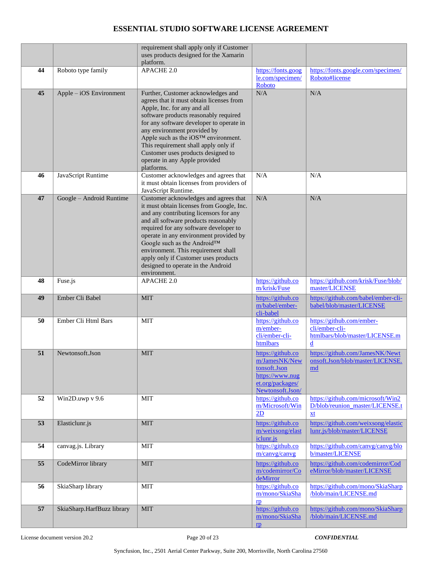|    |                            | requirement shall apply only if Customer<br>uses products designed for the Xamarin<br>platform.                                                                                                                                                                                                                                                                                                                              |                                                                                                               |                                                                                    |
|----|----------------------------|------------------------------------------------------------------------------------------------------------------------------------------------------------------------------------------------------------------------------------------------------------------------------------------------------------------------------------------------------------------------------------------------------------------------------|---------------------------------------------------------------------------------------------------------------|------------------------------------------------------------------------------------|
| 44 | Roboto type family         | APACHE 2.0                                                                                                                                                                                                                                                                                                                                                                                                                   | https://fonts.goog<br>le.com/specimen/<br>Roboto                                                              | https://fonts.google.com/specimen/<br>Roboto#license                               |
| 45 | Apple – iOS Environment    | Further, Customer acknowledges and<br>agrees that it must obtain licenses from<br>Apple, Inc. for any and all<br>software products reasonably required<br>for any software developer to operate in<br>any environment provided by<br>Apple such as the iOS™ environment.<br>This requirement shall apply only if<br>Customer uses products designed to<br>operate in any Apple provided<br>platforms.                        | N/A                                                                                                           | N/A                                                                                |
| 46 | JavaScript Runtime         | Customer acknowledges and agrees that<br>it must obtain licenses from providers of<br>JavaScript Runtime.                                                                                                                                                                                                                                                                                                                    | N/A                                                                                                           | N/A                                                                                |
| 47 | Google - Android Runtime   | Customer acknowledges and agrees that<br>it must obtain licenses from Google, Inc.<br>and any contributing licensors for any<br>and all software products reasonably<br>required for any software developer to<br>operate in any environment provided by<br>Google such as the Android™<br>environment. This requirement shall<br>apply only if Customer uses products<br>designed to operate in the Android<br>environment. | N/A                                                                                                           | N/A                                                                                |
| 48 | Fuse.js                    | APACHE 2.0                                                                                                                                                                                                                                                                                                                                                                                                                   | https://github.co<br>m/krisk/Fuse                                                                             | https://github.com/krisk/Fuse/blob/<br>master/LICENSE                              |
| 49 | Ember Cli Babel            | <b>MIT</b>                                                                                                                                                                                                                                                                                                                                                                                                                   | https://github.co<br>m/babel/ember-<br>cli-babel                                                              | https://github.com/babel/ember-cli-<br>babel/blob/master/LICENSE                   |
| 50 | Ember Cli Html Bars        | <b>MIT</b>                                                                                                                                                                                                                                                                                                                                                                                                                   | https://github.co<br>m/ember-<br>cli/ember-cli-<br>htmlbars                                                   | https://github.com/ember-<br>cli/ember-cli-<br>htmlbars/blob/master/LICENSE.m<br>d |
| 51 | Newtonsoft.Json            | <b>MIT</b>                                                                                                                                                                                                                                                                                                                                                                                                                   | https://github.co<br>m/JamesNK/New<br>tonsoft.Json<br>https://www.nug<br>et.org/packages/<br>Newtonsoft.Json/ | https://github.com/JamesNK/Newt<br>onsoft.Json/blob/master/LICENSE.<br>md          |
| 52 | Win2D.uwp v 9.6            | <b>MIT</b>                                                                                                                                                                                                                                                                                                                                                                                                                   | https://github.co<br>m/Microsoft/Win<br>2D                                                                    | https://github.com/microsoft/Win2<br>D/blob/reunion_master/LICENSE.t<br>xt         |
| 53 | Elasticlunr.js             | <b>MIT</b>                                                                                                                                                                                                                                                                                                                                                                                                                   | https://github.co<br>m/weixsong/elast<br>iclunr.js                                                            | https://github.com/weixsong/elastic<br>lunr.js/blob/master/LICENSE                 |
| 54 | canvag.js. Library         | <b>MIT</b>                                                                                                                                                                                                                                                                                                                                                                                                                   | https://github.co<br>m/canvg/canvg                                                                            | https://github.com/canvg/canvg/blo<br>b/master/LICENSE                             |
| 55 | CodeMirror library         | <b>MIT</b>                                                                                                                                                                                                                                                                                                                                                                                                                   | https://github.co<br>m/codemirror/Co<br>deMirror                                                              | https://github.com/codemirror/Cod<br>eMirror/blob/master/LICENSE                   |
| 56 | SkiaSharp library          | <b>MIT</b>                                                                                                                                                                                                                                                                                                                                                                                                                   | https://github.co<br>m/mono/SkiaSha<br>$\mathbf{r}$                                                           | https://github.com/mono/SkiaSharp<br>/blob/main/LICENSE.md                         |
| 57 | SkiaSharp.HarfBuzz library | <b>MIT</b>                                                                                                                                                                                                                                                                                                                                                                                                                   | https://github.co<br>m/mono/SkiaSha<br>$\mathbf{p}$                                                           | https://github.com/mono/SkiaSharp<br>/blob/main/LICENSE.md                         |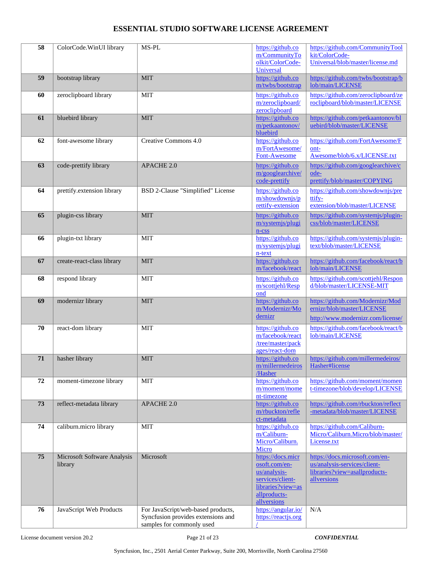| 58 | ColorCode.WinUI library                | MS-PL                                                                                                 | https://github.co<br>m/CommunityTo<br>olkit/ColorCode-                                                                     | https://github.com/CommunityTool<br>kit/ColorCode-<br>Universal/blob/master/license.md                         |
|----|----------------------------------------|-------------------------------------------------------------------------------------------------------|----------------------------------------------------------------------------------------------------------------------------|----------------------------------------------------------------------------------------------------------------|
|    |                                        |                                                                                                       | Universal                                                                                                                  |                                                                                                                |
| 59 | bootstrap library                      | <b>MIT</b>                                                                                            | https://github.co<br>m/twbs/bootstrap                                                                                      | https://github.com/twbs/bootstrap/b<br>lob/main/LICENSE                                                        |
| 60 | zeroclipboard library                  | <b>MIT</b>                                                                                            | https://github.co<br>m/zeroclipboard/<br>zeroclipboard                                                                     | https://github.com/zeroclipboard/ze<br>roclipboard/blob/master/LICENSE                                         |
| 61 | bluebird library                       | <b>MIT</b>                                                                                            | https://github.co<br>m/petkaantonov/<br>bluebird                                                                           | https://github.com/petkaantonov/bl<br>uebird/blob/master/LICENSE                                               |
| 62 | font-awesome library                   | Creative Commons 4.0                                                                                  | https://github.co<br>m/FortAwesome/<br>Font-Awesome                                                                        | https://github.com/FortAwesome/F<br>ont-<br>Awesome/blob/6.x/LICENSE.txt                                       |
| 63 | code-prettify library                  | APACHE 2.0                                                                                            | https://github.co<br>m/googlearchive/<br>code-prettify                                                                     | https://github.com/googlearchive/c<br>ode-<br>prettify/blob/master/COPYING                                     |
| 64 | prettify.extension library             | BSD 2-Clause "Simplified" License                                                                     | https://github.co<br>m/showdownjs/p<br>rettify-extension                                                                   | https://github.com/showdownjs/pre<br>ttify-<br>extension/blob/master/LICENSE                                   |
| 65 | plugin-css library                     | <b>MIT</b>                                                                                            | https://github.co<br>m/systemjs/plugi<br>$n$ - $\csc$                                                                      | https://github.com/systemjs/plugin-<br>css/blob/master/LICENSE                                                 |
| 66 | plugin-txt library                     | <b>MIT</b>                                                                                            | https://github.co<br>m/systemjs/plugi<br>n-text                                                                            | https://github.com/systemjs/plugin-<br>text/blob/master/LICENSE                                                |
| 67 | create-react-class library             | <b>MIT</b>                                                                                            | https://github.co<br>m/facebook/react                                                                                      | https://github.com/facebook/react/b<br>lob/main/LICENSE                                                        |
| 68 | respond library                        | <b>MIT</b>                                                                                            | https://github.co<br>m/scottjehl/Resp<br>ond                                                                               | https://github.com/scottjehl/Respon<br>d/blob/master/LICENSE-MIT                                               |
| 69 | modernizr library                      | <b>MIT</b>                                                                                            | https://github.co<br>m/Modernizr/Mo<br>dernizr                                                                             | https://github.com/Modernizr/Mod<br>ernizr/blob/master/LICENSE<br>http://www.modernizr.com/license/            |
| 70 | react-dom library                      | <b>MIT</b>                                                                                            | https://github.co<br>m/facebook/react<br>/tree/master/pack<br>ages/react-dom                                               | https://github.com/facebook/react/b<br>lob/main/LICENSE                                                        |
| 71 | hasher library                         | <b>MIT</b>                                                                                            | https://github.co<br>m/millermedeiros<br>/Hasher                                                                           | https://github.com/millermedeiros/<br>Hasher#license                                                           |
| 72 | moment-timezone library                | <b>MIT</b>                                                                                            | https://github.co<br>m/moment/mome<br>nt-timezone                                                                          | https://github.com/moment/momen<br>t-timezone/blob/develop/LICENSE                                             |
| 73 | reflect-metadata library               | APACHE 2.0                                                                                            | https://github.co<br>m/rbuckton/refle<br>ct-metadata                                                                       | https://github.com/rbuckton/reflect<br>-metadata/blob/master/LICENSE                                           |
| 74 | caliburn.micro library                 | <b>MIT</b>                                                                                            | https://github.co<br>m/Caliburn-<br>Micro/Caliburn.<br>Micro                                                               | https://github.com/Caliburn-<br>Micro/Caliburn.Micro/blob/master/<br>License.txt                               |
| 75 | Microsoft Software Analysis<br>library | Microsoft                                                                                             | https://docs.micr<br>osoft.com/en-<br>us/analysis-<br>services/client-<br>libraries?view=as<br>allproducts-<br>allversions | https://docs.microsoft.com/en-<br>us/analysis-services/client-<br>libraries?view=asallproducts-<br>allversions |
| 76 | JavaScript Web Products                | For JavaScript/web-based products,<br>Syncfusion provides extensions and<br>samples for commonly used | https://angular.io/<br>https://reactjs.org                                                                                 | N/A                                                                                                            |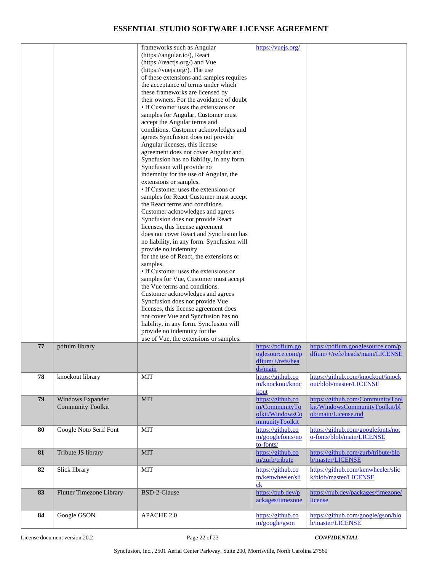|    |                                              | frameworks such as Angular<br>(https://angular.io/), React<br>(https://reactjs.org/) and Vue<br>(https://vuejs.org/). The use<br>of these extensions and samples requires<br>the acceptance of terms under which<br>these frameworks are licensed by<br>their owners. For the avoidance of doubt<br>• If Customer uses the extensions or<br>samples for Angular, Customer must<br>accept the Angular terms and<br>conditions. Customer acknowledges and<br>agrees Syncfusion does not provide<br>Angular licenses, this license<br>agreement does not cover Angular and<br>Syncfusion has no liability, in any form.<br>Syncfusion will provide no<br>indemnity for the use of Angular, the<br>extensions or samples.<br>• If Customer uses the extensions or<br>samples for React Customer must accept<br>the React terms and conditions.<br>Customer acknowledges and agrees<br>Syncfusion does not provide React<br>licenses, this license agreement<br>does not cover React and Syncfusion has<br>no liability, in any form. Syncfusion will<br>provide no indemnity<br>for the use of React, the extensions or<br>samples.<br>• If Customer uses the extensions or<br>samples for Vue, Customer must accept<br>the Vue terms and conditions.<br>Customer acknowledges and agrees<br>Syncfusion does not provide Vue<br>licenses, this license agreement does<br>not cover Vue and Syncfusion has no<br>liability, in any form. Syncfusion will<br>provide no indemnity for the<br>use of Vue, the extensions or samples. | https://vuejs.org/                                                      |                                                                                          |
|----|----------------------------------------------|-------------------------------------------------------------------------------------------------------------------------------------------------------------------------------------------------------------------------------------------------------------------------------------------------------------------------------------------------------------------------------------------------------------------------------------------------------------------------------------------------------------------------------------------------------------------------------------------------------------------------------------------------------------------------------------------------------------------------------------------------------------------------------------------------------------------------------------------------------------------------------------------------------------------------------------------------------------------------------------------------------------------------------------------------------------------------------------------------------------------------------------------------------------------------------------------------------------------------------------------------------------------------------------------------------------------------------------------------------------------------------------------------------------------------------------------------------------------------------------------------------------------------------|-------------------------------------------------------------------------|------------------------------------------------------------------------------------------|
| 77 | pdfuim library                               |                                                                                                                                                                                                                                                                                                                                                                                                                                                                                                                                                                                                                                                                                                                                                                                                                                                                                                                                                                                                                                                                                                                                                                                                                                                                                                                                                                                                                                                                                                                               | https://pdfium.go<br>oglesource.com/p<br>$dfium/+/refs/hea$             | https://pdfium.googlesource.com/p<br>dfium/+/refs/heads/main/LICENSE                     |
| 78 | knockout library                             | <b>MIT</b>                                                                                                                                                                                                                                                                                                                                                                                                                                                                                                                                                                                                                                                                                                                                                                                                                                                                                                                                                                                                                                                                                                                                                                                                                                                                                                                                                                                                                                                                                                                    | ds/main<br>https://github.co<br>m/knockout/knoc<br>kout                 | https://github.com/knockout/knock<br>out/blob/master/LICENSE                             |
| 79 | Windows Expander<br><b>Community Toolkit</b> | <b>MIT</b>                                                                                                                                                                                                                                                                                                                                                                                                                                                                                                                                                                                                                                                                                                                                                                                                                                                                                                                                                                                                                                                                                                                                                                                                                                                                                                                                                                                                                                                                                                                    | https://github.co<br>m/CommunityTo<br>olkit/WindowsCo<br>mmunityToolkit | https://github.com/CommunityTool<br>kit/WindowsCommunityToolkit/bl<br>ob/main/License.md |
| 80 | Google Noto Serif Font                       | <b>MIT</b>                                                                                                                                                                                                                                                                                                                                                                                                                                                                                                                                                                                                                                                                                                                                                                                                                                                                                                                                                                                                                                                                                                                                                                                                                                                                                                                                                                                                                                                                                                                    | https://github.co<br>m/googlefonts/no<br>to-fonts/                      | https://github.com/googlefonts/not<br>o-fonts/blob/main/LICENSE                          |
| 81 | Tribute JS library                           | <b>MIT</b>                                                                                                                                                                                                                                                                                                                                                                                                                                                                                                                                                                                                                                                                                                                                                                                                                                                                                                                                                                                                                                                                                                                                                                                                                                                                                                                                                                                                                                                                                                                    | https://github.co<br>m/zurb/tribute                                     | https://github.com/zurb/tribute/blo<br>b/master/LICENSE                                  |
| 82 | Slick library                                | <b>MIT</b>                                                                                                                                                                                                                                                                                                                                                                                                                                                                                                                                                                                                                                                                                                                                                                                                                                                                                                                                                                                                                                                                                                                                                                                                                                                                                                                                                                                                                                                                                                                    | https://github.co<br>m/kenwheeler/sli<br>c <sub>k</sub>                 | https://github.com/kenwheeler/slic<br>k/blob/master/LICENSE                              |
| 83 | <b>Flutter Timezone Library</b>              | BSD-2-Clause                                                                                                                                                                                                                                                                                                                                                                                                                                                                                                                                                                                                                                                                                                                                                                                                                                                                                                                                                                                                                                                                                                                                                                                                                                                                                                                                                                                                                                                                                                                  | https://pub.dev/p<br>ackages/timezone                                   | https://pub.dev/packages/timezone/<br>license                                            |
| 84 | Google GSON                                  | APACHE 2.0                                                                                                                                                                                                                                                                                                                                                                                                                                                                                                                                                                                                                                                                                                                                                                                                                                                                                                                                                                                                                                                                                                                                                                                                                                                                                                                                                                                                                                                                                                                    | https://github.co<br>m/google/gson                                      | https://github.com/google/gson/blo<br>b/master/LICENSE                                   |